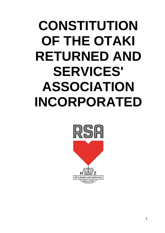# **CONSTITUTION OF THE OTAKI RETURNED AND SERVICES' ASSOCIATION INCORPORATED**

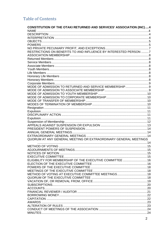## **Table of Contents**

| CONSTITUTION OF THE OTAKI RETURNED AND SERVICES' ASSOCIATION (INC) 4 |  |
|----------------------------------------------------------------------|--|
| <b>NAME</b>                                                          |  |
|                                                                      |  |
|                                                                      |  |
|                                                                      |  |
|                                                                      |  |
|                                                                      |  |
| RESTRICTIONS ON BENEFITS TO AND INFLUENCE BY INTERESTED PERSON 7     |  |
|                                                                      |  |
|                                                                      |  |
|                                                                      |  |
|                                                                      |  |
|                                                                      |  |
|                                                                      |  |
|                                                                      |  |
|                                                                      |  |
|                                                                      |  |
|                                                                      |  |
|                                                                      |  |
|                                                                      |  |
|                                                                      |  |
|                                                                      |  |
|                                                                      |  |
|                                                                      |  |
|                                                                      |  |
|                                                                      |  |
|                                                                      |  |
|                                                                      |  |
|                                                                      |  |
|                                                                      |  |
|                                                                      |  |
|                                                                      |  |
|                                                                      |  |
| QUORUM AT ANY GENERAL MEETING OR EXTRAORDINARY GENERAL MEETINGS      |  |
|                                                                      |  |
|                                                                      |  |
|                                                                      |  |
|                                                                      |  |
|                                                                      |  |
| ELIGIBILITY FOR MEMBERSHIP OF THE EXECUTIVE COMMITTEE  16            |  |
|                                                                      |  |
|                                                                      |  |
|                                                                      |  |
| METHOD OF VOTING AT EXECUTIVE COMMITTEE MEETINGS 18                  |  |
|                                                                      |  |
|                                                                      |  |
|                                                                      |  |
|                                                                      |  |
|                                                                      |  |
|                                                                      |  |
|                                                                      |  |
|                                                                      |  |
|                                                                      |  |
|                                                                      |  |
|                                                                      |  |
|                                                                      |  |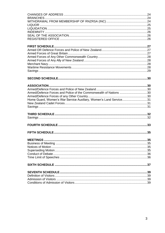<span id="page-2-0"></span>

| Armed/Defence Forces and Police of the Commonwealth of Nations 30 |  |
|-------------------------------------------------------------------|--|
|                                                                   |  |
| Home Guard, Women's War Service Auxiliary, Women's Land Service31 |  |
|                                                                   |  |
|                                                                   |  |
|                                                                   |  |
|                                                                   |  |
|                                                                   |  |
|                                                                   |  |
|                                                                   |  |
|                                                                   |  |
|                                                                   |  |
|                                                                   |  |
|                                                                   |  |
|                                                                   |  |
|                                                                   |  |
|                                                                   |  |
|                                                                   |  |
|                                                                   |  |
|                                                                   |  |
|                                                                   |  |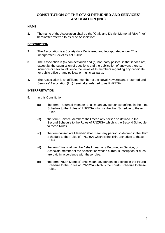## **CONSTITUTION OF THE OTAKI RETURNED AND SERVICES' ASSOCIATION (INC)**

#### <span id="page-3-0"></span>**NAME**

**1.** The name of the Association shall be the "Otaki and District Memorial RSA (Inc)" hereinafter referred to as "The Association".

#### <span id="page-3-1"></span>**DESCRIPTION**

- **2.** The Association is a Society duly Registered and Incorporated under "The Incorporated Societies Act 1908".
- **3.** The Association is (a) non-sectarian and (b) non-party political in that it does not, except by the submission of questions and the publication of answers thereto, influence or seek to influence the views of its members regarding any candidate for public office or any political or municipal party.
- **4.** The Association is an affiliated member of the Royal New Zealand Returned and Services' Association (Inc) hereinafter referred to as RNZRSA.

#### <span id="page-3-2"></span>**INTERPRETATION**

- **5.** In this Constitution,
	- **(a)** the term "Returned Member" shall mean any person so defined in the First Schedule to the Rules of RNZRSA which is the First Schedule to these Rules.
	- **(b)** the term "Service Member" shall mean any person so defined in the Second Schedule to the Rules of RNZRSA which is the Second Schedule to these Rules.
	- **(c)** the term 'Associate Member' shall mean any person so defined in the Third Schedule to the Rules of RNZRSA which is the Third Schedule to these Rules.
	- **(d)** the term "financial member" shall mean any Returned or Service, or Associate member of the Association whose current subscription or dues are paid in accordance with these rules.
	- **(e)** the term 'Youth Member' shall mean any person so defined in the Fourth Schedule to the Rules of RNZRSA which is the Fourth Schedule to these Rules.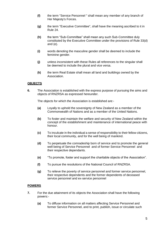- **(f)** the term "Service Personnel " shall mean any member of any branch of Her Majesty's Forces.
- **(g)** the term "Executive Committee", shall have the meaning ascribed to it in Rule 24.
- **(h)** the term "Sub-Committee" shall mean any such Sub-Committee duly constituted by the Executive Committee under the provisions of Rule 33(d) and (e).
- **(i)** words denoting the masculine gender shall be deemed to include the feminine gender.
- **(j)** unless inconsistent with these Rules all references to the singular shall be deemed to include the plural and vice versa.
- **(k)** the term Real Estate shall mean all land and buildings owned by the Association.

#### <span id="page-4-0"></span>**OBJECTS**

**6.** The Association is established with the express purpose of pursuing the aims and objects of RNZRSA as expressed hereunder.

The objects for which the Association is established are:-

- **(a)** Loyally to uphold the sovereignty of New Zealand as a member of the Commonwealth of Nations and as a member of the United Nations.
- **(b)** To foster and maintain the welfare and security of New Zealand within the concept of the establishment and maintenance of international peace with honour.
- **(c)** To inculcate in the individual a sense of responsibility to their fellow citizens, their local community, and for the well being of mankind.
- **(d)** To perpetuate the comradeship born of service and to promote the general well being of Service Personnel and of former Service Personnel and their respective dependants.
- **(e)** "To promote, foster and support the charitable objects of the Association".
- **(f)** To pursue the resolutions of the National Council of RNZRSA.
- **(g)** To relieve the poverty of service personnel and former service personnel, their respective dependents and the former dependents of deceased service personnel and ex-service personnel

#### <span id="page-4-1"></span>**POWERS**

- **7.** For the due attainment of its objects the Association shall have the following powers:-
	- **(a)** To diffuse information on all matters affecting Service Personnel and former Service Personnel, and to print, publish, issue or circulate such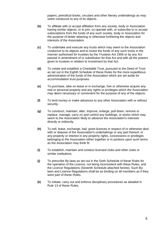papers, periodical books, circulars and other literary undertakings as may seem conducive to any of its objects.

- **(b)** To affiliate with or accept affiliation from any society, body or Association having similar objects, or to join, co-operate with, or subscribe to or accept subscriptions from the funds of any such society, body or Association for the purpose of better attaining or otherwise furthering the objects and interests of the Association.
- **(c)** To undertake and execute any trusts which may seem to the Association conducive to its objects and to invest the funds of any such trusts in the manner authorised for trustees by the Trustees Act 1956 or by any Act passed in amendment of or substitution for that Act and with all the powers given to trustees in relation to investment by that Act.
- **(d)** To create and establish a Charitable Trust, pursuant to the Deed of Trust as set out in the Eighth Schedule of these Rules for the more expeditious administration of the funds of the Association which are set aside for accommodation trust purposes.
- **(e)** To purchase, take on lease or in exchange, hire or otherwise acquire any real or personal property and any rights or privileges which the Association may deem necessary or convenient for the purpose of any of the objects.
- **(f)** To lend money or make advances to any other Association with or without security.
- **(g)** To construct, maintain, alter, improve, enlarge, pull down, remove or replace, manage, carry on and control any buildings, or works which may seem to the Association likely to advance the Association's interests directly or indirectly.
- **(h)** To sell, lease, exchange, bail, grant licences in respect of or otherwise deal with or dispose of the Association's undertakings or any part thereof, or any property or interest in any property rights, concessions or privileges belonging to the Association either together or in portions upon such terms as the Association may think fit.
- **(i)** To establish, maintain and conduct licensed clubs and other clubs or similar institutions.
- **(j)** To prescribe By-laws as set out in the Sixth Schedule of these Rules for the operation of the Licence, not being inconsistent with these Rules, and the Licence Regulations (Seventh Schedule attached hereto). Such Bylaws and Licence Regulations shall be as binding on all members as if they were part of these Rules.
- **(k)** To initiate, carry out and enforce disciplinary procedures as detailed in Rule 13 of these Rules.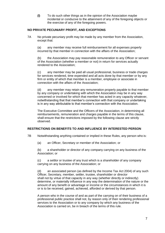**(l)** To do such other things as in the opinion of the Association maybe incidental or conducive to the attainment of any of the foregoing objects or the exercise of any of the foregoing powers.

#### <span id="page-6-0"></span>**NO PRIVATE PECUNIARY PROFIT, AND EXCEPTIONS**

7A No private pecuniary profit may be made by any member from the Association, except that:

(a) any member may receive full reimbursement for all expenses properly incurred by that member in connection with the affairs of the Association;

(b) the Association may pay reasonable remuneration to any Officer or servant of the Association (whether a member or not) in return for services actually rendered to the Association;

(c) any member may be paid all usual professional, business or trade charges for services rendered, time expended and all acts done by that member or by any firm or entity of which that member is a member, employee or associate in connection with the affairs of the Association;

(d) any member may retain any remuneration properly payable to that member by any company or undertaking with which the Association may be in any way concerned or involved for which that member has acted in any capacity whatever, notwithstanding that that member's connection with that company or undertaking is in any way attributable to that member's connection with the Association.

The Executive Committee and the Officers of the Association, in determining all reimbursements, remuneration and charges payable in the terms of this clause, shall ensure that the restrictions imposed by the following clause are strictly observed.

#### <span id="page-6-1"></span>**RESTRICTIONS ON BENEFITS TO AND INFLUENCE BY INTERESTED PERSON**

- 7B Notwithstanding anything contained or implied in these Rules, any person who is:
	- (a) an Officer, Secretary or member of the Association; or

(b) a shareholder or director of any company carrying on any business of the Association; or

(c) a settlor or trustee of any trust which is a shareholder of any company carrying on any business of the Association; or

(d) an associated person (as defined by the Income Tax Act 2004) of any such Officer, Secretary, member, settler, trustee, shareholder or director shall not by virtue of that capacity in any way (whether directly or indirectly) determine, or materially influence in any way the determination of the nature or the amount of any benefit or advantage or income or the circumstances in which it is or is to be received, gained, achieved, afforded or derived by that person.

A person who in the course of and as part of the carrying on of their business of a professional public practice shall not, by reason only of their rendering professional services to the Association or to any company by which any business of the Association is carried on, be in breach of the terms of this rule.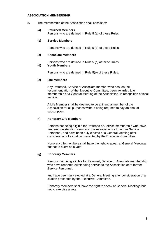#### <span id="page-7-0"></span>**ASSOCIATION MEMBERSHIP**

<span id="page-7-1"></span>**8.** The membership of the Association shall consist of:

#### **(a) Returned Members**

Persons who are defined in Rule 5 (a) of these Rules.

#### <span id="page-7-2"></span>**(b) Service Members**

Persons who are defined in Rule 5 (b) of these Rules.

#### <span id="page-7-3"></span>**(c) Associate Members**

Persons who are defined in Rule 5 (c) of these Rules.

#### <span id="page-7-4"></span>**(d) Youth Members**

Persons who are defined in Rule 5(e) of these Rules.

#### <span id="page-7-5"></span>**(e) Life Members**

Any Returned, Service or Associate member who has, on the recommendation of the Executive Committee, been awarded Life membership at a General Meeting of the Association, in recognition of local service.

A Life Member shall be deemed to be a financial member of the Association for all purposes without being required to pay an annual subscription.

#### <span id="page-7-6"></span>**(f) Honorary Life Members**

Persons not being eligible for Returned or Service membership who have rendered outstanding service to the Association or to former Service Personnel, and have been duly elected at a General Meeting after consideration of a citation presented by the Executive Committee.

Honorary Life members shall have the right to speak at General Meetings but not to exercise a vote.

#### <span id="page-7-7"></span>**(g) Honorary Members**

Persons not being eligible for Returned, Service or Associate membership who have rendered outstanding service to the Association or to former Service Personnel.

and have been duly elected at a General Meeting after consideration of a citation presented by the Executive Committee.

Honorary members shall have the right to speak at General Meetings but not to exercise a vote.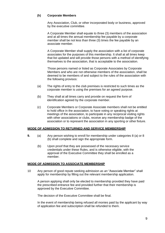#### <span id="page-8-0"></span>**(h) Corporate Members**

Any Association, Club, or other incorporated body or business, approved by the executive committee.

A Corporate Member shall equate to three (3) members of the association and at all times the annual membership fee payable by a corporate member shall be not less than three (3) times the fee payable by an associate member.

A Corporate Member shall supply the association with a list of corporate associates for the purposes of this membership. It shall at all times keep that list updated and will provide those persons with a method of identifying themselves to the association, that is acceptable to the association.

Those persons named or listed as Corporate Associates by Corporate Members and who are not otherwise members of the association, shall be deemed to be members of and subject to the rules of the association with the following provisos:

- (a) The rights of entry to the club premises is restricted to such times as the corporate member is using the premises for an agreed purpose.
- (b) They shall at all times carry and provide on request the form of identification agreed by the corporate member.
- (c) Corporate Members or Corporate Associate members shall not be entitled to hold office in the association, to have voting or speaking rights at meetings of the association, to participate in any reciprocal visiting rights with other associations or clubs, receive any membership badge of the association or to represent the association in any sporting or other fixture.

#### <span id="page-8-1"></span>**MODE OF ADMISSION TO RETURNED AND SERVICE MEMBERSHIP**

- **9.** (a) Any person wishing to enroll for membership under categories 8 (a) or 8 (b) shall complete and sign the appropriate form.
	- (b) Upon proof that they are possessed of the necessary service credentials under these Rules, and is otherwise eligible, with the approval of the Executive Committee they shall be enrolled as a member.

#### <span id="page-8-2"></span>**MODE OF ADMISSION TO ASSOCIATE MEMBERSHIP**

10 Any person of good repute seeking admission *as an* "Associate Member" shall apply for membership by filling out the relevant membership application.

A person applying shall only be elected to membership provided they have paid the prescribed entrance fee and provided further that their membership is approved by the Executive Committee.

The decision of the Executive Committee shall be final.

In the event of membership being refused all monies paid by the applicant by way of application fee and subscription shall be refunded to them.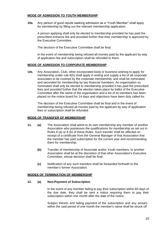#### <span id="page-9-0"></span>**MODE OF ADMISSION TO YOUTH MEMBERSHIP**

**10a** Any person of good repute seeking admission as a "Youth Member" shall apply for membership by filling out the relevant membership application.

A person applying shall only be elected to membership provided he has paid the prescribed entrance fee and provided further that their membership is approved by the Executive Committee.

The decision of the Executive Committee shall be final.

In the event of membership being refused all monies paid by the applicant by way of application fee and subscription shall be refunded to them.

#### <span id="page-9-1"></span>**MODE OF ADMISSION TO CORPORATE MEMBERSHIP**

**10b.** Any Association, Club, other incorporated body or business wishing to apply for membership under rule 8(h) shall apply in writing and supply a list of all corporate associates to be covered by the corporate membership, and shall be nominated and seconded for membership by two financial members. An organisation so nominated shall only be elected to membership provided it has paid the prescribed fees and provided further that the election takes place by ballot of the Executive Committee after the name of the organisation and a list of its members has been placed on the notice board for 14 days and objections have been duly called for.

The decision of the Executive Committee shall be final and in the event of membership being refused all monies paid by the applicant by way of application fees or subscription shall be refunded.

#### <span id="page-9-2"></span>**MODE OF TRANSFER OF MEMBERSHIP**

- **11. (a)** The Association shall admit to its own membership any member of another Association who possesses the qualifications for membership as set out in Rules 8 (a) or 8 (b) of these Rules. Such transfer shall be affected on receipt of a certificate from the General Manager of that Association that the member has paid subscription for the current year and recommending them for membership.
	- **(b)** Transfer of membership of Associate and/or Youth members, to another Association shall be at the discretion of that other Association's Executive Committee, whose decision shall be final.
	- **(c)** Notification of any such transfers shall be forwarded forthwith to the member's former Association.

#### <span id="page-9-3"></span>**MODES OF TERMINATION OF MEMBERSHIP**

#### **12. (a) Non-Payment of Subscription**

In the event of any member failing to pay their subscription within 60 days of the due date, they shall be sent a notice requiring them to pay their subscription within one month after the date of the notice.

Subject thereto and failing payment of the subscription and any arrears within the said period of one month the member's name shall be struck off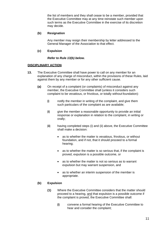the list of members and they shall cease to be a member, provided that the Executive Committee may at any time reinstate such member upon such terms as the Executive Committee in the exercise of its discretion may decide.

#### <span id="page-10-0"></span>**(b) Resignation**

Any member may resign their membership by letter addressed to the General Manager of the Association to that effect.

#### <span id="page-10-1"></span>**(c) Expulsion**

#### *Refer to Rule 13(b) below.*

#### <span id="page-10-2"></span>**DISCIPLINARY ACTION**

- **13.** The Executive Committee shall have power to call on any member for an explanation of any charge of misconduct, within the provisions of these Rules, laid against them by any member or for any other sufficient cause.
	- **(a)** On receipt of a complaint (or complaints) of misconduct against any member, the Executive Committee shall (unless it considers such complaint to be vexatious, or frivolous, or totally without foundation):
		- **(i)** notify the member in writing of the complaint, and give them such particulars of the complaint as are available;
		- **(ii)** give the member a reasonable opportunity to provide an initial response or explanation in relation to the complaint, in writing or orally;
		- **(iii)** having completed steps (i) and (ii) above, the Executive Committee shall make a decision:
			- as to whether the matter is vexatious, frivolous, or without foundation, and if not, that it should proceed to a formal hearing;
			- as to whether the matter is so serious that, if the complaint is proved, expulsion is a possible outcome, or
			- as to whether the matter is not so serious as to warrant expulsion but may warrant suspension, and
			- as to whether an interim suspension of the member is appropriate.

#### <span id="page-10-3"></span>**(b) Expulsion**

- **(1)** Where the Executive Committee considers that the matter should proceed to a hearing, and that expulsion is a possible outcome if the complaint is proved, the Executive Committee shall:
	- **(i)** convene a formal hearing of the Executive Committee to hear and consider the complaint;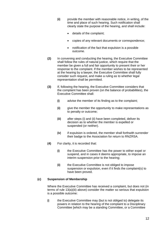- **(ii)** provide the member with reasonable notice, in writing, of the time and place of such hearing. Such notification shall clearly state the purpose of the hearing, and shall include:
	- details of the complaint;
	- copies of any relevant documents or correspondence;
	- notification of the fact that expulsion is a possible outcome.
- **(2)** In convening and conducting the hearing, the Executive Committee shall follow the rules of natural justice, which require that the member be given a full and fair opportunity to present their or her response to the complaint. If the member wishes to be represented at the hearing by a lawyer, the Executive Committee shall fully consider such request, and make a ruling as to whether legal representation shall be permitted.
- **(3)** If, following the hearing, the Executive Committee considers that the complaint has been proven (on the balance of probabilities), the Executive Committee shall:
	- **(i)** advise the member of its finding as to the complaint;
	- **(ii)** give the member the opportunity to make representations as to penalty or outcome;
	- **(iii)** after steps (i) and (ii) have been completed, deliver its decision as to whether the member is expelled or suspended (or neither).
	- **(iv)** if expulsion is ordered, the member shall forthwith surrender their badge to the Association for return to RNZRSA.
- **(4)** For clarity, it is recorded that:
	- **(i)** the Executive Committee has the power to either expel or suspend, and in cases it deems appropriate, to impose an interim suspension prior to the hearing;
	- **(ii)** the Executive Committee is not obliged to impose suspension or expulsion, even if it finds the complaint(s) to have been proved.

#### <span id="page-11-0"></span>**(c) Suspension of Membership**

Where the Executive Committee has received a complaint, but does not (in terms of rule 13(a)(iii) above) consider the matter so serious that expulsion is a possible outcome:

**(i)** the Executive Committee may (but is not obliged to) delegate its powers in relation to the hearing of the complaint to a Disciplinary Committee [which may be a standing Committee, or a Committee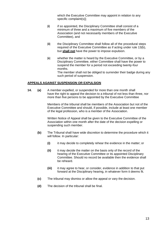which the Executive Committee may appoint in relation to any specific complaint(s)];

- **(ii)** if so appointed, the Disciplinary Committee shall consist of a minimum of three and a maximum of five members of the Association (and not necessarily members of the Executive Committee), and
- **(iii)** the Disciplinary Committee shall follow all of the procedural steps required of the Executive Committee as if acting under rule 13(b), but **shall not** have the power to impose expulsion.
- **(iv)** whether the matter is heard by the Executive Committee, or by a Disciplinary Committee, either Committee shall have the power to suspend the member for a period not exceeding twenty-four months. The member shall not be obliged to surrender their badge during any such period of suspension.

#### <span id="page-12-0"></span>**APPEALS AGAINST SUSPENSION OR EXPULSION**

**14. (a)** A member expelled, or suspended for more than one month shall have the right to appeal the decision to a tribunal of not less than three, nor more than five persons to be appointed by the Executive Committee

> Members of the tribunal shall be members of the Association but not of the Executive Committee and should, if possible, include at least one member of the legal profession, who is a member of the Association.

Written Notice of Appeal shall be given to the Executive Committee of the Association within one month after the date of the decision expelling or suspending such member.

- **(b)** The Tribunal shall have wide discretion to determine the procedure which it will follow. In particular:
	- **(i)** it may decide to completely rehear the evidence in the matter; or
	- **(ii)** it may decide the matter on the basis only of the record of the hearing of the Executive Committee or its appointed Disciplinary Committee. Should no record be available then the evidence shall be reheard.
	- **(iii)** it may agree to hear, or consider, evidence in addition to that put forward at the Disciplinary hearing, in whatever form it deems fit.
- **(c)** The tribunal may dismiss or allow the appeal or vary the decision.
- **(d)** The decision of the tribunal shall be final.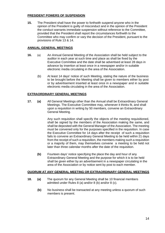#### <span id="page-13-0"></span>**PRESIDENT POWERS OF SUSPENSION**

**15.** The President shall have the power to forthwith suspend anyone who in the opinion of the President is guilty of misconduct and in the opinion of the President the conduct warrants immediate suspension without reference to the Committee, provided that the President shall report the circumstances forthwith to the Committee who may confirm or vary the decision of the President, pursuant to the provisions of Rule 13 & 14.

#### <span id="page-13-1"></span>**ANNUAL GENERAL MEETINGS**

- **16.** (a) An Annual General Meeting of the Association shall be held subject to the auditor in each year at such time and place as shall be fixed by the Executive Committee and the date shall be advertised at least 28 days in advance by insertion at least once in a newspaper and/or in suitable electronic media circulating in the area of the Association.
	- (b) At least 14 days' notice of such Meeting, stating the nature of the business to be brought before the Meeting shall be given to members either by post or by advertisement inserted at least once in a newspaper and in suitable electronic media circulating in the area of the Association.

#### <span id="page-13-2"></span>**EXTRAORDINARY GENERAL MEETINGS**

**17. (a)** All General Meetings other than the Annual shall be Extraordinary General Meetings. The Executive Committee may, whenever it thinks fit, and shall upon a requisition in writing by 50 members, convene an Extraordinary General Meeting.

> Any such requisition shall specify the objects of the meeting requisitioned, shall be signed by the members of the Association making the same, and shall be deposited with the General Manager of the Association. The meeting must be convened only for the purposes specified in the requisition. In case the Executive Committee for 14 days after the receipt of such a requisition fails to convene an Extraordinary General Meeting to be held within 21 days from the receipt of such a requisition, the members making such a requisition or a majority of them, may themselves convene a meeting to be held not later than three calendar months after the date of the requisition.

**(b)** Fourteen days' notice specifying the place the day and hour of any Extraordinary General Meeting and the purpose for which it is to be held shall be given either by an advertisement in a newspaper circulating in the area of the Association or by notice sent by post to each member.

#### <span id="page-13-3"></span>**QUORUM AT ANY GENERAL MEETING OR EXTRAORDINARY GENERAL MEETINGS**

- **18. (a)** The quorum for any General Meeting shall be 10 financial members admitted under Rules 8 (a) and/or 8 (b) and/or 8 (c).
	- **(b)** No business shall be transacted at any meeting unless a quorum of such members is present.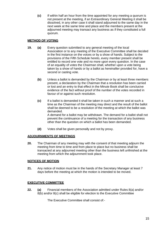**(c)** If within half an hour from the time appointed for any meeting a quorum is not present at the meeting, if an Extraordinary General Meeting it shall be dissolved, in any other case it shall stand adjourned to the same day in the next week at the same time and place and the members present at the adjourned meeting may transact any business as if they constituted a full quorum.

#### <span id="page-14-0"></span>**METHOD OF VOTING**

- **19. (a)** Every question submitted to any general meeting of the local Association or to any meeting of the Executive Committee shall be decided in the first instance on the voices or by a show of hands. Subject to the provisions of the Fifth Schedule hereto, every member present shall be entitled to record one vote and no more upon every question. In the case of an equality of votes the Chairman shall, whether upon a vote being taken by a show of hands or by a ballot as hereinafter provided for, have a second or casting vote.
	- **(b)** Unless a ballot is demanded by the Chairman or by at least three members present, a declaration by the Chairman that a resolution has been carried or lost and an entry to that effect in the Minute Book shall be conclusive evidence of the fact without proof of the number of the votes recorded in favour of or against such resolution.
	- **(c)** If a ballot is demanded it shall be taken in such a manner and at such a time as the Chairman of the meeting may direct and the result of the ballot shall be deemed to be a resolution of the meeting at which the ballot was demanded. A demand for a ballot may be withdrawn. The demand for a ballot shall not prevent the continuance of a meeting for the transaction of any business other than the question on which a ballot has been demanded.
	- **(d)** Votes shall be given personally and not by proxy.

#### <span id="page-14-1"></span>**ADJOURNMENTS OF MEETINGS**

**20.** The Chairman of any meeting may with the consent of that meeting adjourn the meeting from time to time and from place to place but no business shall be transacted at any adjourned meeting other than the business left unfinished at the meeting from which the adjournment took place.

#### <span id="page-14-2"></span>**NOTICES OF MOTION**

**21.** Any notice of motion must be in the hands of the Secretary Manager at least 7 days before the meeting at which the motion is intended to be moved.

#### <span id="page-14-3"></span>**EXECUTIVE COMMITTEE**

**22. (a)** Financial members of the Association admitted under Rules 8(a) and/or 8(b) and/or 8(c) shall be eligible for election to the Executive Committee

The Executive Committee shall consist of:-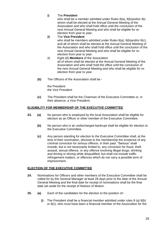#### **(i)** The **President**

who shall be a member admitted under Rules 8(a), 8(b)and/or 8(c whom shall be elected at the Annual General Meeting of the Association and who shall hold office until the conclusion of the next Annual General Meeting and who shall be eligible for reelection from year to year.

- **(ii)** The **Vice President** who shall be members admitted under Rules 8(a), 8(b)and/or 8(c), and all of whom shall be elected at the Annual General Meeting of the Association and who shall hold office until the conclusion of the next Annual General Meeting and who shall be eligible for reelection from year to year.
- (iii) Eight (8) **Members** of the Association all of whom shall be elected at the Annual General Meeting of the Association and who shall hold the office until the conclusion of the next Annual General Meeting and who shall be eligible for reelection from year to year.
- **(b)** The Officers of the Association shall be:-

the President the Vice President

**(c)** The President shall be the Chairman of the Executive Committee or, in their absence, a Vice President.

#### <span id="page-15-0"></span>**ELIGIBILITY FOR MEMBERSHIP OF THE EXECUTIVE COMMITTEE**

- **23. (a)** No person who is employed by the local Association shall be eligible for election as an Officer or other member of the Executive Committee.
	- **(b)** No person who is an undischarged bankrupt shall be eligible for election to the Executive Committee.
	- **(c)** Any person standing for election to the Executive Committee shall, at the time of their nomination, disclose to the membership the existence of any criminal conviction for serious offence, in their past. "Serious" shall include, but is not necessarily limited to, any conviction for fraud, theft, assault, sexual offence, or any offence involving illegal drugs, drinking and driving or driving while disqualified, but shall not include traffic infringement matters, or offences which do not carry a possible term of imprisonment.

#### <span id="page-15-1"></span>**ELECTION OF THE EXECUTIVE COMMITTEE**

- **24.** Nominations for Officers and other members of the Executive Committee shall be called for by the General Manager at least 28 days prior to the date of the Annual General Meeting and the final date for receipt of nominations shall be the final date set aside for the receipt of Notices of Motion.
- **25. (a)** Each of the candidates for the election to the position of:-
	- **(i)** The President shall be a financial member admitted under rules 8 (a) 8(b) or 8(c), who must have been a financial member of the Association for the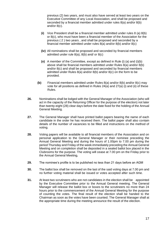previous (2) two years, and must also have served at least two years on the Executive Committee of any Local Association, and shall be proposed and seconded by a financial member admitted under rules 8(a) and/or 8(b) and/or 8(c).

- **(ii)** Vice President shall be a financial member admitted under rules 8 (a) 8(b) or 8(c), who must have been a financial member of the Association for the previous ( 2 ) two years , and shall be proposed and seconded by a financial member admitted under rules 8(a) and/or 8(b) and/or 8(c)
- **(iv)** All nominations shall be proposed and seconded by financial members admitted under rule 8(a), 8(b) and/ or 8(c)
- **(v)** A member of the Committee, except as defined in Rule (i) (a) and (i)(b) above shall be financial members admitted under Rules 8(a) and/or 8(b) and/or 8(c) and shall be proposed and seconded by financial members admitted under Rules 8(a) and/or 8(b) and/or 8(c) on the form to be provided.
- **(b)** Financial members admitted under Rules 8(a) and/or 8(b) and/or 8(c) may vote for all positions as defined in Rules  $24(a)$  and  $27(a)$  (i) and (ii) of these Rules.
- **26.** Nominations shall be lodged with the General Manager of the Association (who will act in the capacity of the Returning Officer for the purpose of the election) not later than twenty-eight (28) clear days before the date fixed for the holding of the Annual General Meeting.
- **27.** The General Manager shall have printed ballot papers bearing the name of each candidate in the order he has received them. The ballot paper shall also contain details of the number of vacancies to be filled and instructions on the method of voting.
- **28.** Voting papers will be available to all financial members of the Association and on personal application to the General Manager or their nominee preceding the Annual General Meeting and during the hours of 1.00pm to 7.00 pm during the period Thursday and Friday of the week immediately preceding the Annual General Meeting and on completion shall be deposited in a sealed ballot box placed in the Clubrooms for the purpose. The voting will cease at 7.00 pm on the Friday prior to the Annual General Meeting*.*
- **29.** The nominee's profile is to be published no less than 21 days before an AGM
- **30.** The ballot box shall be removed on the last of the said voting days at 7.00 pm and no further voting material shall be issued or votes accepted after such time.
- **31.** At least two scrutineers who are not candidates in the election shall be appointed by the Executive Committee prior to the Annual General meeting. The General Manager will release the ballot box or boxes to the scrutineers no more than 24 hours prior to the commencement of the Annual General Meeting for the purpose of counting the votes. The final result of the election shall be handed to the Chairman as soon as the votes have been counted. The General Manager shall at the appropriate time during the meeting announce the result of the election.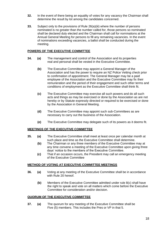- **32.** In the event of there being an equality of votes for any vacancy the Chairman shall determine the result by lot among the candidates concerned.
- **33.** Subject only to the provisions of Rule 26(a)(iii) where the number of persons nominated is no greater than the number called for, those persons so nominated shall be declared duly elected and the Chairman shall call for nominations at the Annual General Meeting for persons to fill any remaining vacancies. In the event of nominations exceeding vacancies, a ballot shall be conducted during the meeting.

#### <span id="page-17-0"></span>**POWERS OF THE EXECUTIVE COMMITTEE**

- **34. (a)** The management and control of the Association and its properties real and personal shall be vested in the Executive Committee.
	- **(b)** The Executive Committee may appoint a General Manager of the Association and has the power to require an NZ Police Vetting check prior to confirmation of appointment. The General Manager may be a paid employee of the Association and the Executive Committee may fix their remuneration and the period of their engagement and such other terms and conditions of employment as the Executive Committee shall think fit.
	- **(c)** The Executive Committee may exercise all such powers and do all such acts and things as may be exercised or done by the Association as are not hereby or by Statute expressly directed or required to be exercised or done by the Association in General Meeting.
	- **(d)** The Executive Committee may appoint such sub-Committees as are necessary to carry out the business of the Association.
	- **(e)** The Executive Committee may delegate such of its powers as it deems fit.

#### <span id="page-17-1"></span>**MEETINGS OF THE EXECUTIVE COMMITTEE**

- **35. (a)** The Executive Committee shall meet at least once per calendar month at such place and time as the Executive Committee shall determine.
	- **(b)** The Chairman or any three members of the Executive Committee may at any time convene a meeting of the Executive Committee upon giving three days' notice to the members of the Executive Committee.
	- **(c)** That if an occasion occurs, the President may call an emergency meeting of the Executive Committee

#### <span id="page-17-2"></span>**METHOD OF VOTING AT EXECUTIVE COMMITTEE MEETINGS**

- **36. (a)** Voting at any meeting of the Executive Committee shall be in accordance with Rule 20 hereof.
	- **(b)** Members of the Executive Committee admitted under rule 8(c) shall have the right to speak and vote on all matters which come before the Executive Committee for consideration and/or decision.

#### <span id="page-17-3"></span>**QUORUM OF THE EXECUTIVE COMMITTEE**

**37. (a)** The quorum for any meeting of the Executive Committee shall be Five (5) members. This includes the Pres or VP in that 5.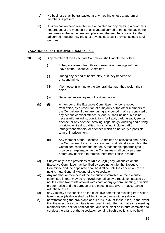- **(b)** No business shall be transacted at any meeting unless a quorum of members is present.
- **(c)** If within half an hour from the time appointed for any meeting a quorum is not present at the meeting it shall stand adjourned to the same day in the next week at the same time and place and the members present at the adjourned meeting may transact any business as if they constituted a full quorum.

#### <span id="page-18-0"></span>**VACATION OF, OR REMOVAL FROM, OFFICE**

- **38. (a)** Any member of the Executive Committee shall vacate their office:-
	- **(i)** If they are absent from three consecutive meetings without leave of the Executive Committee.
	- **(ii)** During any period of bankruptcy, or if they become of unsound mind.
	- **(iii)** If by notice in writing to the General Manager they resign their office.
	- **(iv)** Becomes an employee of the Association.
	- **(b) (i)** A member of the Executive Committee may be removed from office, by a resolution of a majority of the other members of the Committee, if they are, during any period in office, convicted of any serious criminal offence. "Serious" shall include, but is not necessarily limited to, convictions for fraud, theft, assault, sexual offence, or any offence involving illegal drugs, drinking and driving or driving while disqualified, but shall not include traffic infringement matters, or offences which do not carry a possible term of imprisonment.
		- **(ii)** Any member of the Executive Committee so convicted shall notify the Committee of such conviction, and shall stand aside whilst the Committee considers the matter. A reasonable opportunity to provide an explanation to the Committee shall be given them, before any decision to remove them from Office is made.
	- **(c)** Subject only to the provisions of Rule 23(a)(iii) any vacancies on the Executive Committee may be filled by appointment by the Executive Committee and the appointee shall hold office until the conclusion of the next Annual General Meeting of the Association.
	- **(d)** Any member or members of the executive committee, or the executive committee in toto, may be removed from office by a resolution passed by not less than two thirds of valid votes cast at any general meeting, of which proper notice and the purpose of the meeting was given, in accordance with these rules.
	- **(e)** any vacancy or vacancies on the executive committee resulting from action taken under (d) above shall be filled in accordance with (c) above.
	- **(f)** notwithstanding the provisions of rules 23 to 32 of these rules, in the event that the executive committee is removed in toto, then at that same meeting members shall call for nominations, and shall elect an interim committee to conduct the affairs of the association pending fresh elections to be held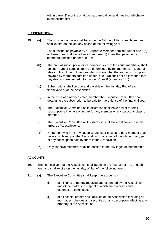within three (3) months or at the next annual general meeting, whichever event occurs first.

#### <span id="page-19-0"></span>**SUBSCRIPTIONS**

**39. (a)** The subscription year shall begin on the 1st day of Feb in each year and shall expire on the last day of Jan of the following year.

> The subscription payable by a Corporate Member admitted under rule 8(h) of these rules shall be not less than three (3) times that payable by members admitted under rule 8(c).

- **(b)** The annual subscription for all members, except for Youth members, shall be such sum or sums as may be determined by the members in General Meeting from time to time, provided however that the annual subscription payable by members admitted under Rule 8 (c) shall not be less than that payable by members admitted under Rules 8 (a) and/or 8 (b).
- **(c)** Subscriptions shall be due and payable on the first day Feb of each financial year of the Association.
- **(d)** In the case of a newly elected member the Executive Committee shall determine the subscription to be paid for the balance of the financial year.
- **(e)** The Executive Committee at its discretion shall have power to remit subscriptions in whole or in part for any member or any particular class of member.
- **(f)** The Executive Committee at its discretion shall have full power to remit arrears of subscriptions.
- **(g)** No person who from any cause whatsoever ceases to be a member shall have any claim upon the Association for a refund of the whole or any part of any subscription paid by them to the Association.
- **(h)** Only financial members shall be entitled to the privileges of membership.

#### <span id="page-19-1"></span>**ACCOUNTS**

- **40.** The financial year of the Association shall begin on the first day of Feb in each year and shall expire on the last day of Jan of the following year..
- **41. (a)** The Executive Committee shall keep true accounts:-
	- **(i)** of all sums of money received and expended by the Association and of the matters in respect of which such receipts and expenditure takes place.
	- **(ii)** of all assets, credits and liabilities of the Association including all mortgages, charges and securities of any description affecting any property of the Association.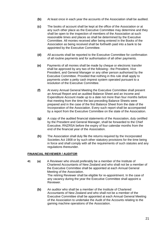- **(b)** At least once in each year the accounts of the Association shall be audited.
- **(c)** The books of account shall be kept at the office of the Association or at any such other place as the Executive Committee may determine and they shall be open to the inspection of members of the Association at such reasonable times and places as shall be determined by the Executive Committee. All monies received after being entered in the Books of the Association as being received shall be forthwith paid into a bank to be appointed by the Executive Committee.
- **(d)** All accounts shall be reported to the Executive Committee for confirmation of all routine payments and for authorisation of all other payments.
- **(e)** Payments of all monies shall be made by cheque or electronic transfer shall be approved by any two of the following:- the President, Vice President, and General Manager or any other person authorised by the Executive Committee. Provided that nothing in this rule shall apply to payments under a petty cash imprest system operated pursuant to a resolution of the Executive Committee.
- **(f)** At every Annual General Meeting the Executive Committee shall present an Annual Report and an audited Balance Sheet and an Income and Expenditure Account made up to a date not more than four months before that meeting from the time the last preceding Balance Sheets were prepared and in the case of the first Balance Sheet from the date of the Incorporation of the Association. Every such report shall be accompanied by a report from the Executive Committee on the state of the Association.
- **(g)** A copy of the audited financial statements of the Association, duly certified by the President and General Manager, shall be forwarded to the Chief Executive, RNZRSA before the expiry of four calendar months from the end of the financial year of the Association.
- **(h)** The Association shall duly file the returns required by the Incorporated Societies Act 1908 or by such other statutory provisions for the time being in force and shall comply with all the requirements of such statutes and any regulations thereunder.

#### <span id="page-20-0"></span>**FINANCIAL REVIEWER / AUDITOR**

- **41 (a)** A Reviewer who should preferably be a member of the Institute of Chartered Accountants of New Zealand and who shall not be a member of the Executive Committee shall be appointed at each Annual General Meeting of the Association. The retiring Reviewer shall be eligible for re-appointment. In the case of any vacancy during the year the Executive Committee shall appoint a Reviewer.
	- **(b)** An auditor who shall be a member of the Institute of Chartered Accountants of New Zealand and who shall not be a member of the Executive Committee shall be appointed at each Annual General Meeting of the Association to undertake the Audit of the Accounts relating to the gaming machine operations of the Association.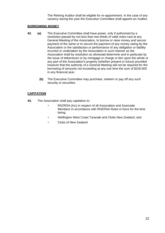The Retiring Auditor shall be eligible for re-appointment. In the case of any vacancy during the year the Executive Committee shall appoint an Auditor.

#### <span id="page-21-0"></span>**BORROWING MONEY**

- **42. (a)** The Executive Committee shall have power, only if authorised by a resolution passed by not less than two-thirds of valid votes cast at any General Meeting of the Association, to borrow or raise money and secure payment of the same or to secure the payment of any money owing by the Association or the satisfaction or performance of any obligation or liability incurred or undertaken by the Association in such manner as the Association shall by resolution as aforesaid determine and in particular by the issue of debentures or by mortgage or charge or lien upon the whole or any part of the Association's property (whether present or future) provided however that the authority of a General Meeting will not be required for the borrowing of amounts not exceeding at any one time the sum of \$100,000 in any financial year.
	- **(b)** The Executive Committee may purchase, redeem or pay off any such security or securities.

#### <span id="page-21-1"></span>**CAPITATION**

- **43.** The Association shall pay capitation to:
	- RNZRSA (Inc) in respect of all Association and Associate Members in accordance with RNZRSA Rules in force for the time being;
	- Wellington West Coast Taranaki and Clubs New Zealand; and
	- Clubs of New Zealand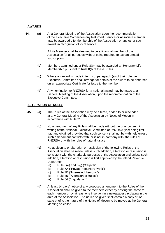#### <span id="page-22-0"></span>**AWARDS**

**44. (a)** At a General Meeting of the Association upon the recommendation of the Executive Committee any Returned, Service or Associate member may be awarded Life Membership of the Association or any other such award, in recognition of local service.

> A Life Member shall be deemed to be a financial member of the Association for all purposes without being required to pay an annual subscription.

- **(b)** Members admitted under Rule 8(b) may be awarded an Honorary Life Membership pursuant to Rule 8(f) of these Rules.
- **(c)** Where an award is made in terms of paragraph (a) of their rule the Executive Committee shall arrange for details of the award to be endorsed on an appropriate Certificate for issue to the member.
- **(d)** Any nomination to RNZRSA for a national award may be made at a General Meeting of the Association, upon the recommendation of the Executive Committee.

#### <span id="page-22-1"></span>**ALTERATION OF RULES**

- **45. (a)** The Rules of the Association may be altered, added to or rescinded at any General Meeting of the Association by Notice of Motion in accordance with Rule 21.
	- **(b)** No amendment of any Rule shall be made without the prior consent in writing of the National Executive Committee of RNZRSA (Inc) being first had and obtained provided that such consent shall not be with held unless such amendment conflicts with, or is not in harmony with, the rules of RNZRSA or with the rules of natural justice.
	- **(c)** No addition to or alteration or rescission of the following Rules of the Association shall be made unless such addition, alteration or rescission is consistent with the charitable purposes of the Association and unless such addition, alteration or rescission is first approved by the Inland Revenue Department.
		- (a) Rule  $6(e)$  and  $6(q)$  ("Objects")
		- (b) Rule 7A ("Private Pecuniary Profit")
		- (c) Rule 7B ("Interested Persons")
		- (d) Rule 45 ("Alteration of Rules")
		- (e) Rule 54 ("Liquidation")
	- **(d)** At least 14 days' notice of any proposed amendment to the Rules of the Association shall be given to the members either by posting the same to each member or by at least one insertion in a newspaper circulating in the area of the Association. The notice so given shall contain a copy of, or state briefly, the nature of the Notice of Motion to be moved at the General Meeting so called.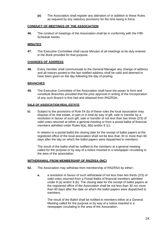**(e)** The Association shall register any alteration of or addition to these Rules as required by any statutory provisions for the time being in force.

#### <span id="page-23-0"></span>**CONDUCT OF MEETINGS OF THE ASSOCIATION**

**46.** The conduct of meetings of the Association shall be in conformity with the Fifth Schedule hereto.

#### <span id="page-23-1"></span>**MINUTES**

**47.** The Executive Committee shall cause Minutes of all meetings to be duly entered in the Book provided for that purpose.

#### <span id="page-23-2"></span>**CHANGES OF ADDRESS**

**48.** Every member shall communicate to the General Manager any change of address and all notices posted to the last notified address shall be valid and deemed to have been given on the day following the day of posting.

#### <span id="page-23-3"></span>**BRANCHES**

**49.** The Executive Committee of the Association shall have the power to form and constitute Branches provided that the prior approval in writing of the Incorporation of any such Branch is first had and obtained from RNZRSA**.**

#### **SALE OF ASSOCIATION REAL ESTATE**

**51** Subject to the provisions of Rule 54 (b) of these rules the local association may dispose of its real estate, in part or in total by way of gift, sale or transfer by a resolution in favour of such gift, sale or transfer of not less than two thirds (2/3) of valid votes returned at either a general meeting or from a postal ballot of financial members admitted under Rules 8(a), 8(b) and/or 8 (c).

In relation to a postal ballot the closing date for the receipt of ballot papers at the registered office of the local association shall not be less than 30 or more than 60 days after the day on which the ballot papers were dispatched to members.

The result of the ballot shall be notified to the members at a general meeting called for the purpose or by way of a notice inserted in a newspaper circulating in the area of the association.

#### <span id="page-23-4"></span>**WITHDRAWAL FROM MEMBERSHIP OF RNZRSA (INC)**

- **52.** The Association may withdraw from membership of RNZRSA by either:
	- **a.** a resolution in favour of such withdrawal of not less than two thirds (2/3) of valid votes returned from a Postal Ballot of financial members admitted under 8 (a) and/or 8 (b). The closing date for the receipt of ballot papers at the registered office of the Association shall be not less than 30 nor more than 60 days after the date on which the ballot papers were dispatched to members.

The result of the Ballot shall be notified to members either at a General Meeting called for the purpose or by way of a notice inserted in a newspaper circulating in the area of the Association.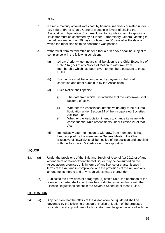or by,

- **b.** a simple majority of valid votes cast by financial members admitted under 8 (a), 8 (b) and/or 8 (c) at a General Meeting in favour of placing the Association in liquidation. Such resolution for liquidation and to appoint a liquidator must be confirmed by a further Extraordinary General Meeting to be held not earlier than 30 days nor later than 60 days after the date on which the resolution so to be confirmed was passed.
- **c.** withdrawal from membership under either a or b above shall be subject to compliance with the following conditions:
	- **(a)** 14 days' prior written notice shall be given to the Chief Executive of RNZRSA (Inc) of any Notice of Motion to withdraw from membership which has been given to members pursuant to these Rules.
	- **(b)** Such notice shall be accompanied by payment in full of all capitation and other sums due by the Association.
	- **(c)** Such Notice shall specify:-
		- **(i)** The date from which it is intended that the withdrawal shall become effective;
		- **(ii)** Whether the Association intends voluntarily to be put into liquidation under Section 24 of the Incorporated Societies Act 1908, or
		- **(iii)** Whether the Association intends to change its name with consequential Rule amendments under Section 21 of that Act.
	- **(d)** Immediately after the motion to withdraw from membership has been adopted by the members in General Meeting the Chief Executive of RNZRSA shall be notified of the decision and supplied with the Association's Certificate of Incorporation.

## <span id="page-24-0"></span>**LIQUOR**

- **53. (a)** Under the provisions of the Sale and Supply of Alcohol Act 2012 or of any amendment or re-enactment thereof, liquor may be consumed on the Association's premises only in terms of any licence or charter issued in terms of the Act and in compliance with the provisions of the Act and any amendments thereto and any Regulations made thereunder.
	- **(b)** Subject to the provisions of paragraph (a) of this Rule, the operation of the licence or charter shall at all times be conducted in accordance with the Licence Regulations set out in the Seventh Schedule of these Rules.

#### <span id="page-24-1"></span>**LIQUIDATION**

**54. (a)** Any decision that the affairs of the Association be liquidated shall be governed by the following procedure. Notice of Motion of the proposed liquidation and appointment of a liquidator must be given in accord with the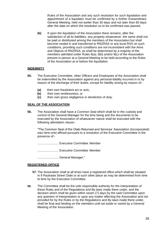Rules of the Association and any such resolution for such liquidation and appointment of a liquidator must be confirmed by a further Extraordinary General Meeting, held not earlier than 30 days and not later than 60 days after the date on which the resolution so to be confirmed was passed.

**(b)** If upon the liquidation of the Association there remains, after the satisfaction of all its liabilities, any property whatsoever, the same shall not be paid or distributed among the members of the Association but shall become vested in and transferred to RNZRSA or any local RSA on such conditions, providing such conditions are not inconsistent with the Aims and Objects of RNZRSA, as shall be determined by a majority of the members admitted under Rules 8(a), 8(b) and/or 8(c) of the Association present in person at a General Meeting to be held according to the Rules of the Association at or before the liquidation.

#### <span id="page-25-0"></span>**INDEMNITY**

- **55.** The Executive Committee, other Officers and Employees of the Association shall be indemnified by the Association against any personal liability incurred in or by reason of the discharge of their duties, except for liability arising by reason of:-
	- **(a)** their own fraudulent act or acts,
	- **(b)** their own recklessness; or
	- **(c)** their own gross negligence or dereliction of duty.

#### <span id="page-25-1"></span>**SEAL OF THE ASSOCIATION**

**56.** The Association shall have a Common Seal which shall be in the custody and control of the General Manager for the time being and the documents to be executed by the Association of whatsoever nature shall be executed with the following attestation clause:-

"The Common Seal of the Otaki Returned and Services' Association (Incorporated) was here-unto affixed pursuant to a resolution of the Executive Committee in the presence of:-

......................... Executive Committee Member

......................... Executive Committee Member

......................... General Manager."

#### <span id="page-25-2"></span>**REGISTERED OFFICE**

- **57.** The Association shall at all times have a registered office which shall be situated in 9 Raukawa Street Otaki or at such other place as may be determined from time to time by the Executive Committee.
- **58.** The Committee shall be the sole responsible authority for the interpretation of these Rules and of the Regulations and By-laws made there under, and the decision which shall be given within seven (7) days by the said Committee upon any question of interpretation or upon any matter affecting the Association and not provided for by the Rules or by the Regulations and By-laws made there under, shall be final and binding on the members until set aside or varied by a General Meeting of the Association.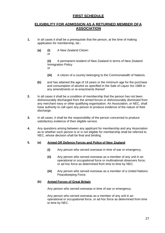## **FIRST SCHEDULE**

## <span id="page-26-0"></span>**ELIGIBILITY FOR ADMISSION AS A RETURNED MEMBER OFA ASSOCIATION**

- **1.** In all cases it shall be a prerequisite that the person, at the time of making application for membership, be:-
	- **(a) (i)** A New Zealand Citizen or

**(ii)** A permanent resident of New Zealand in terms of New Zealand Immigration Policy or

- **(iii)** A citizen of a country belonging to the Commonwealth of Nations.
- **(b)** and has attained the age of 18 years or the minimum age for the purchase and consumption of alcohol as specified in the Sale of Liquor Act 1989 or any amendments or re-enactments thereof
- **2.** In all cases it shall be a condition of membership that the person has not been dishonourably discharged from the armed forces or dishonourably dismissed from any merchant navy or other qualifying organisation. An Association, or NEC, shall have authority to call upon any person to produce evidence of the nature of their discharge.
- **3.** In all cases, it shall be the responsibility of the person concerned to produce satisfactory evidence of their eligible service.
- **4.** Any questions arising between any applicant for membership and any Association as to whether such person is or is not eligible for membership shall be referred to NEC, whose decision shall be final and binding.

#### <span id="page-26-1"></span>**5. (a) Armed OR Defence Forces and Police of New Zealand**

- **(i)** Any person who served overseas in time of war or emergency.
- **(ii)** Any person who served overseas as a member of any unit in an operational or occupational force or multinational observers force, or ad hoc force as determined from time to time by NEC.
- **(iii)** Any person who served overseas as a member of a United Nations Peacekeeping Force.

#### <span id="page-26-2"></span>**(b) Armed Forces of Great Britain**

Any person who served overseas in time of war or emergency.

Any person who served overseas as a member of any unit in an operational or occupational force, or ad hoc force as determined from time to time by NEC.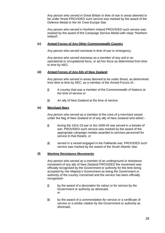Any person who served in Great Britain in time of war in areas deemed to be under threat PROVIDED such service was marked by the award of the Defence Medal or the Air Crew Europe Star.

Any person who served in Northern Ireland PROVIDED such service was marked by the award of the Campaign Service Medal with clasp "Northern Ireland".

#### <span id="page-27-0"></span>**(c) Armed Forces of Any Other Commonwealth Country**

Any person who served overseas in time of war or emergency.

Any person who served overseas as a member of any unit in an operational or occupational force, or ad hoc force as determined from time to time by NEC.

#### <span id="page-27-1"></span>**(d) Armed Forces of Any Ally of New Zealand**

Any person who served in areas deemed to be under threat, as determined from time to time by NEC, as a member of the Armed Forces of:-

- **(i)** A country that was a member of the Commonwealth of Nations at the time of service or
- **(ii)** An ally of New Zealand at the time of service.

#### <span id="page-27-2"></span>**(e) Merchant Navy**

Any person who served as a member of the crew of a merchant vessel under the flag of New Zealand or of any ally of New Zealand who either:-

- **(i)** during the 1914-18 war or the 1939-45 war served in a theatre of war, PROVIDED such service was marked by the award of the appropriate campaign medals awarded to services personnel for service in that theatre, or
- **(ii)** served in a vessel engaged in the Falklands war, PROVIDED such service was marked by the award of the South Atlantic Star.

#### <span id="page-27-3"></span>**(f) Wartime Resistance Movements**

Any person who served as a member of an underground or resistance movement of any ally of New Zealand PROVIDED the movement was officially recognised by the Government or authority for the time being accepted by Her Majesty's Government as being the Government or authority of the country concerned and the service has been officially recognised:-

- **(i)** by the award of a decoration for valour or for service by the Government or authority as aforesaid, or
- **(ii)** by the award of a commendation for service or a certificate of service or a similar citation by the Government or authority as aforesaid,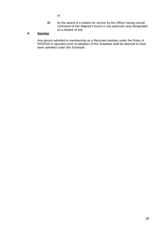or

**(iii)** by the award of a citation for service by the Officer having overall command of Her Majesty's forces in any particular area designated as a theatre of war.

### <span id="page-28-0"></span>**6. Savings**

Any person admitted to membership as a Returned member under the Rules of RNZRSA in operation prior to adoption of this Schedule shall be deemed to have been admitted under this Schedule.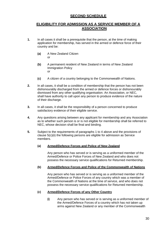## **SECOND SCHEDULE**

## <span id="page-29-0"></span>**ELIGIBILITY FOR ADMISSION AS A SERVICE MEMBER OF A ASSOCIATION**

- <span id="page-29-1"></span>**1.** In all cases it shall be a prerequisite that the person, at the time of making application for membership, has served in the armed or defence force of their country and be:
	- **(a)** A New Zealand Citizen or
	- **(b)** A permanent resident of New Zealand in terms of New Zealand Immigration Policy or
	- **(c)** A citizen of a country belonging to the Commonwealth of Nations.
- **2.** In all cases, it shall be a condition of membership that the person has not been dishonourably discharged from the armed or defence forces or dishonourably dismissed from any other qualifying organisation. An Association, or NEC, shall have authority to call upon any person to produce evidence of the nature of their discharge.
- **3.** In all cases, it shall be the responsibility of a person concerned to produce satisfactory evidence of their eligible service.
- **4.** Any questions arising between any applicant for membership and any Association as to whether such person is or is not eligible for membership shall be referred to NEC, whose decision shall be final and binding.
- <span id="page-29-2"></span>**5.** Subject to the requirements of paragraphs 1 to 4 above and the provisions of clause 5(c)(ii) the following persons are eligible for admission as Service members.

#### **(a) Armed/Defence Forces and Police of New Zealand**

Any person who has served or is serving as a uniformed member of the Armed/Defence or Police Forces of New Zealand and who does not possess the necessary service qualifications for Returned membership.

#### <span id="page-29-3"></span>**(b) Armed/Defence Forces and Police of the Commonwealth of Nations**

Any person who has served or is serving as a uniformed member of the Armed/Defence or Police Forces of any country which was a member of the Commonwealth of Nations at the time of service, and who does not possess the necessary service qualifications for Returned membership.

#### <span id="page-29-4"></span>**(c) Armed/Defence Forces of any Other Country**

**(i)** Any person who has served or is serving as a uniformed member of the Armed/Defence Forces of a country which has not taken up arms against New Zealand or any member of the Commonwealth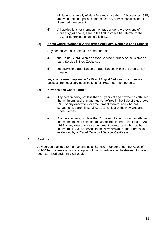of Nations or an ally of New Zealand since the 11<sup>th</sup> November 1918, and who does not possess the necessary service qualifications for Returned membership.

**(ii)** All applications for membership made under the provisions of clause 5(c)(i) above, shall in the first instance be referred to the NEC for determination as to eligibility.

#### **(d) Home Guard, Women's War Service Auxiliary, Women's Land Service**

<span id="page-30-0"></span>Any person who has served as a member of:

- **(i)** the Home Guard, Women's War Service Auxiliary or the Women's Land Service in New Zealand, or
- **(ii)** an equivalent organisation or organisations within the then British Empire

anytime between September 1939 and August 1945 and who does not possess the necessary qualifications for "Returned" membership.

#### <span id="page-30-1"></span>**(e) New Zealand Cadet Forces**

- **(i)** Any person being not less than 18 years of age or who has attained the minimum legal drinking age as defined in the Sale of Liquor Act 1989 or any enactment or amendment thereto, and who has served, or is currently serving, as an Officer of the New Zealand Cadet Forces.
- **(ii)** Any person being not less than 18 years of age or who has attained the minimum legal drinking age as defined in the Sale of Liquor Act 1989 or any enactment or amendment thereto, and who has had a minimum of 3 years service in the New Zealand Cadet Forces as evidenced by a "Cadet Record of Service' Certificate.

#### <span id="page-30-2"></span>**6. Savings**

Any person admitted to membership as a "Service" member under the Rules of RNZRSA in operation prior to adoption of this Schedule shall be deemed to have been admitted under this Schedule.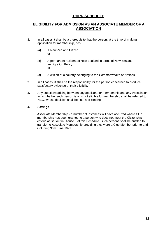## **THIRD SCHEDULE**

## <span id="page-31-0"></span>**ELIGIBILITY FOR ADMISSION AS AN ASSOCIATE MEMBER OF A ASSOCIATION**

- **1.** In all cases it shall be a prerequisite that the person, at the time of making application for membership, be:-
	- **(a)** A New Zealand Citizen or
	- **(b)** A permanent resident of New Zealand in terms of New Zealand Immigration Policy or
	- **(c)** A citizen of a country belonging to the Commonwealth of Nations.
- **2.** In all cases, it shall be the responsibility for the person concerned to produce satisfactory evidence of their eligibility.
- **3.** Any questions arising between any applicant for membership and any Association as to whether such person is or is not eligible for membership shall be referred to NEC, whose decision shall be final and binding.

#### <span id="page-31-1"></span>**4. Savings**

Associate Membership - a number of instances will have occurred where Club membership has been granted to a person who does not meet the Citizenship criteria as set out in Clause 1 of this Schedule. Such persons shall be entitled to transfer to Associate Membership providing they were a Club Member prior to and including 30th June 1992.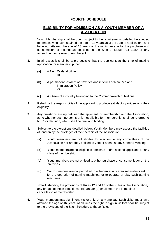## **FOURTH SCHEDULE**

## <span id="page-32-0"></span>**ELIGIBILITY FOR ADMISSION AS A YOUTH MEMBER OF A ASSOCIATION**

Youth Membership shall be open, subject to the requirements detailed hereunder, to persons who have attained the age of 13 years as at the date of application, and have not attained the age of 18 years or the minimum age for the purchase and consumption of alcohol as specified in the Sale of Liquor Act 1989 or any amendment or re enactment thereof.

- **1.** In all cases it shall be a prerequisite that the applicant, at the time of making application for membership, be:
	- **(a)** A New Zealand citizen or
	- **(b)** A permanent resident of New Zealand in terms of New Zealand Immigration Policy or
	- **(c)** A citizen of a country belonging to the Commonwealth of Nations.
- **2.** It shall be the responsibility of the applicant to produce satisfactory evidence of their eligibility.
- **3.** Any questions arising between the applicant for membership and the Association, as to whether such person is or is not eligible for membership, shall be referred to NEC for decision, which shall be final and binding.
- **4.** Subject to the exceptions detailed below, Youth Members may access the facilities of, and enjoy the privileges of membership of the Association:
	- **(a)** Youth members are not eligible for election to any committees of the Association nor are they entitled to vote or speak at any General Meeting.
	- **(b)** Youth members are not eligible to nominate and/or second applicants for any class of membership.
	- **(c)** Youth members are not entitled to either purchase or consume liquor on the premises.
	- **(d)** Youth members are not permitted to either enter any area set aside or set up for the operation of gaming machines, or to operate or play such gaming machines.

Notwithstanding the provisions of Rules 12 and 13 of the Rules of the Association, any breach of these conditions, 4(c) and/or (d) shall mean the immediate cancellation of membership.

**5.** Youth members may sign in one visitor only, on any one day. Such visitor must have attained the age of 16 years. At all times the right to sign in visitors shall be subject to the provisions of the Sixth Schedule to these Rules.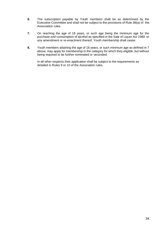- **6.** The subscription payable by Youth members shall be as determined by the Executive Committee and shall not be subject to the provisions of Rule 38(a) of the Association rules.
- **7.** On reaching the age of 18 years, or such age being the minimum age for the purchase and consumption of alcohol as specified in the Sale of Liquor Act 1989 or any amendment or re-enactment thereof, Youth membership shall cease.
- **8.** Youth members attaining the age of 18 years, or such minimum age as defined in 7 above, may apply for membership in the category for which they eligible, but without being required to be further nominated or seconded.

In all other respects their application shall be subject to the requirements as detailed in Rules 9 or 10 of the Association rules.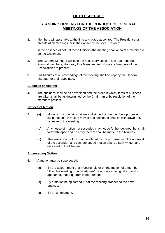## **FIFTH SCHEDULE**

## <span id="page-34-0"></span>**STANDING ORDERS FOR THE CONDUCT OF GENERAL MEETINGS OF THE ASSOCIATION**

<span id="page-34-1"></span>**1.** Members will assemble at the time and place appointed. The President shall preside at all meetings, or in their absence the Vice President.

In the absence of both of these Officers, the meeting shall appoint a member to be the Chairman.

- **2.** The General Manager will take the necessary steps to see that none but financial members**,** Honorary Life Members and Honorary Members of the Association are present.
- **3.** Full Minutes of all proceedings of the meeting shall be kept by the General Manager or their appointee.

#### <span id="page-34-2"></span>**Business of Meeting**

**4.** The business shall be as advertised and the order in which items of business are taken shall be as determined by the Chairman or by resolution of the members present.

#### <span id="page-34-3"></span>**Notices of Motion**

- **5. (a)** Motions must be fairly written and signed by the members proposing such motions. A motion moved and seconded shall be withdrawn only by leave of the meeting.
	- **(b)** Any notice of motion not seconded may not be further debated, but shall forthwith lapse and no entry thereof shall be made in the Minutes.
	- **(c)** The terms of a motion may be altered by the proposer with the approval of the seconder, and such amended motion shall be fairly written and delivered to the Chairman.

#### <span id="page-34-4"></span>**Superseding Motion**

- **6.** A motion may be superseded:
	- **(a)** By the adjournment of a meeting, either on the motion of a member "That this meeting do now adjourn", or on notice being taken, and it appearing, that a quorum is not present.
	- **(b)** By a motion being carried "That the meeting proceed to the next business".
	- **(c)** By an amendment.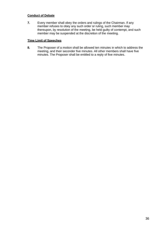#### <span id="page-35-0"></span>**Conduct of Debate**

**7.** Every member shall obey the orders and rulings of the Chairman. If any member refuses to obey any such order or ruling, such member may thereupon, by resolution of the meeting, be held guilty of contempt, and such member may be suspended at the discretion of the meeting.

#### <span id="page-35-1"></span>**Time Limit of Speeches**

**8.** The Proposer of a motion shall be allowed ten minutes in which to address the meeting, and their seconder five minutes. All other members shall have five minutes. The Proposer shall be entitled to a reply of five minutes.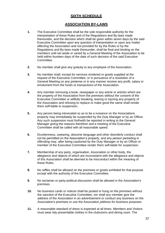## **SIXTH SCHEDULE**

## **ASSOCIATION BY-LAWS**

- <span id="page-36-0"></span>**1.** The Executive Committee shall be the sole responsible authority for the interpretation of these Rules and of the Regulations and By-laws made thereunder, and the decision which shall be given within seven days by the said Executive Committee upon any question of interpretation or upon any matter affecting the Association and not provided for by the Rules or by the Regulations and By-laws made thereunder, shall be final and binding on the members until set aside or varied by a General Meeting of the Association to be held within fourteen days of the date of such decision of the said Executive Committee.
- **2.** No member shall give any gratuity to any employee of the Association.
- **3.** No member shall, except for services rendered or goods supplied at the request of the Executive Committee, or in pursuance of a resolution of a General Meeting on any pretense or in any manner receive any profit, salary or emolument from the funds or transactions of the Association.
- **4.** Any member removing a book, newspaper or any article or articles which are the property of the Association from the premises without the consent of the Executive Committee or willfully breaking, tearing or injuring any property of the Association and refusing to replace or make good the same shall render them self-liable to suspension.
- **5.** Any person being intoxicated so as to be a nuisance on the Associations property may immediately be suspended by the Duty Manager or by an Officer. Any such suspension must forthwith be reported in writing to the General Manager giving the reasons therefore and a meeting of the Executive Committee shall be called with all reasonable speed.
- **6.** Drunkenness, swearing, obscene language and other disorderly conduct shall not be permitted on the Association's property, and any person persisting in offending may, after being cautioned by the Duty Manager or by an Officer or member of the Executive Committee render them self-liable for suspension.
- **7.** Membership of any party, organisation, Association or other body, the allegiance and objects of which are inconsistent with the allegiance and objects of this Association shall be deemed to be misconduct within the meaning of these Rules.
- **8.** No raffles shall be allowed on the premises or goods exhibited for that purpose except with the authority of the Executive Committee.
- **9.** No sectarian or party-political discussion shall be allowed in the Association's premises.
- **10.** No business cards or notices shall be posted or hung on the premises without the sanction of the Executive Committee, nor shall any member give the address of the Association in an advertisement or conduct any business on the Association's premises or use the Association address for business purposes.
- **11.** A reasonable standard of dress is expected at all times. Members and Visitors must wear tidy presentable clothes in the clubrooms and dining room. The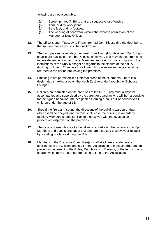following are not acceptable:

- **(a)** Screen printed T-Shirts that are suggestive or offensive
- **(b)** Torn, or dirty work jeans
- **(c)** Bare feet, or dirty footwear
- **(d)** The wearing of headwear without the express permission of the Manager or Duty Officer.
- **12.** The office is open Tuesday to Friday from 8:30am. Please ring the door bell at the front entrance if you visit before 10:30am.
- **13.** The bar operates seven days per week from 11am (Mondays from 2pm). Light snacks are available at the bar. Closing times vary and may change from time to time depending on patronage. Members and visitors must comply with the instructions of the Duty Manager as regards to the closure of the bar. A drinking up time of 20 minutes is allowed. All glassware and jugs should be returned to the bar before leaving the premises.
- **14.** Smoking is not permitted in all internal areas of the clubrooms. There is a designated smoking area on the North East veranda through the 'Edhouse Lounge.'
- **15.** Children are permitted on the premises of the RSA. They must always be accompanied and supervised by the parent or guardian who will be responsible for their good behavior. The designated Gaming area is out-of-bounds to all children under the age of 18.
- **16.** Should the fire alarm sound, the directions of the building warden or duty officer shall be obeyed, and patrons shall leave the building in an orderly fashion. Members should familiarize themselves with the evacuation procedures displayed on the premises.
- **17.** The Ode of Remembrance to the fallen is recited each Friday evening at 6pm. Members and guests present at that time are expected to show your respect by standing in silence during the Ode.
- **18.** Members of the Executive Committee(s) shall at all times render every assistance to the Officers and staff of the Association to maintain order and to prevent infringement of the Rules, Regulations or By-laws, or the terms of any charter which may be granted from time to time to the Association.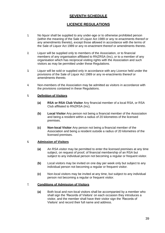## **SEVENTH SCHEDULE**

## **LICENCE REGULATIONS**

- <span id="page-38-0"></span>**1.** No liquor shall be supplied to any under-age or to otherwise prohibited person (within the meaning of the Sale of Liquor Act 1989 or any re-enactments thereof or any amendments thereto), except those allowed in accordance with the terms of the Sale of Liquor Act 1989 or any re-enactment thereof or amendments thereto.
- **2.** Liquor will be supplied only to members of the Association, or to financial members of any organisation affiliated to RNZRSA (Inc), or to a member of any organisation which has reciprocal visiting rights with the Association and such visitors as may be permitted under these Regulations.
- **3.** Liquor will be sold or supplied only in accordance with any Licence held under the provisions of the Sale of Liquor Act 1989 or any re-enactments thereof or amendments thereto.
- **4.** Non-members of the Association may be admitted as visitors in accordance with the provisions contained in these Regulations.

#### <span id="page-38-1"></span>**5. Definition of Visitors**

- **(a) RSA or RSA Club Visitor** Any financial member of a local RSA, or RSA Club affiliated to RNZRSA (Inc).
- **(b) Local Visitor** Any person not being a financial member of the Association and being a resident within a radius of 20 kilometres of the licensed premises.
- **(c) Non-local Visitor** Any person not being a financial member of the Association and being a resident outside a radius of 20 kilometres of the licensed premises.

#### <span id="page-38-2"></span>**6. Admission of Visitors**

- **(a)** An RSA visitor may be permitted to enter the licensed premises at any time subject, on request of proof, of financial membership of an RSA but subject to any individual person not becoming a regular or frequent visitor.
- **(b)** Local visitors may be invited on one day per week only but subject to any individual person not becoming a regular or frequent visitor.
- **(c)** Non-local visitors may be invited at any time, but subject to any individual person not becoming a regular or frequent visitor.

#### <span id="page-38-3"></span>**7. Conditions of Admission of Visitors**

**(a)** Both local and non-local visitors shall be accompanied by a member who shall sign the 'Records of Visitors' on each occasion they introduces a visitor, and the member shall have their visitor sign the 'Records of Visitors' and record their full name and address.